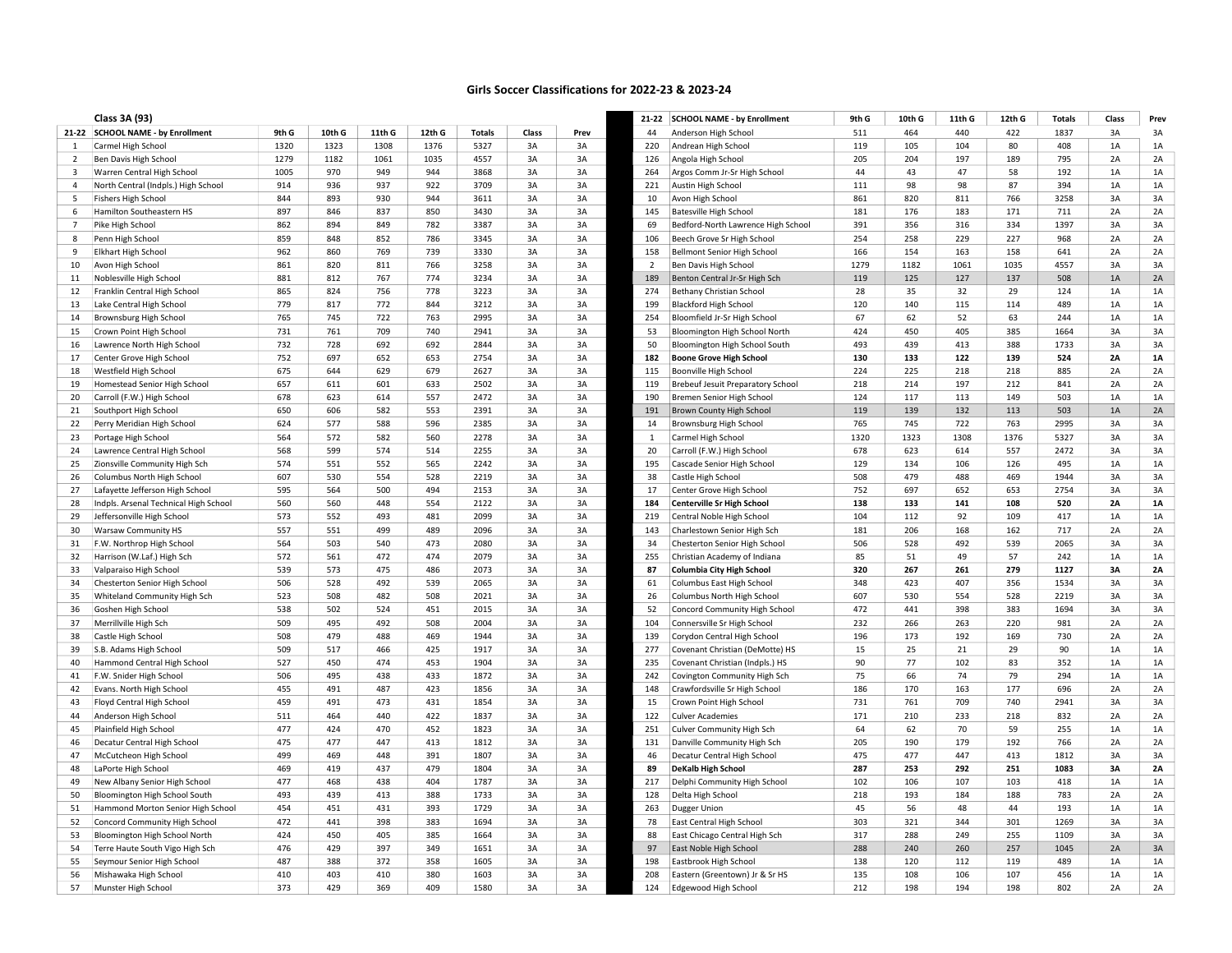## Girls Soccer Classifications for 2022-23 & 2023-24

|                | Class 3A (93)                                                  |            |            |            |            |               |          |          |              | 21-22 SCHOOL NAME - by Enrollment                         | 9th G     | 10th G    | 11th G     | 12th G     | <b>Totals</b> | Class    | Prev      |
|----------------|----------------------------------------------------------------|------------|------------|------------|------------|---------------|----------|----------|--------------|-----------------------------------------------------------|-----------|-----------|------------|------------|---------------|----------|-----------|
|                | 21-22 SCHOOL NAME - by Enrollment                              | 9th G      | 10th G     | 11th G     | 12th G     | <b>Totals</b> | Class    | Prev     | 44           | Anderson High School                                      | 511       | 464       | 440        | 422        | 1837          | 3A       | 3A        |
| 1              | Carmel High School                                             | 1320       | 1323       | 1308       | 1376       | 5327          | 3A       | 3A       | 220          | Andrean High School                                       | 119       | 105       | 104        | 80         | 408           | 1A       | 1A        |
| 2              | Ben Davis High School                                          | 1279       | 1182       | 1061       | 1035       | 4557          | 3A       | 3A       | 126          | Angola High School                                        | 205       | 204       | 197        | 189        | 795           | 2A       | 2A        |
| 3              | Warren Central High School                                     | 1005       | 970        | 949        | 944        | 3868          | 3A       | 3A       | 264          | Argos Comm Jr-Sr High School                              | 44        | 43        | 47         | 58         | 192           | 1A       | $1A$      |
| $\overline{a}$ | North Central (Indpls.) High School                            | 914        | 936        | 937        | 922        | 3709          | 3A       | 3A       | 221          | Austin High School                                        | 111       | 98        | 98         | 87         | 394           | $1A$     | $1A$      |
| -5             | <b>Fishers High School</b>                                     | 844        | 893        | 930        | 944        | 3611          | 3A       | 3A       | 10           | Avon High School                                          | 861       | 820       | 811        | 766        | 3258          | 3A       | 3A        |
| 6              | Hamilton Southeastern HS                                       | 897        | 846        | 837        | 850        | 3430          | 3A       | 3A       | 145          | Batesville High School                                    | 181       | 176       | 183        | 171        | 711           | 2A       | 2A        |
| $\overline{7}$ | Pike High School                                               | 862        | 894        | 849        | 782        | 3387          | 3A       | 3A       | 69           | Bedford-North Lawrence High School                        | 391       | 356       | 316        | 334        | 1397          | 3A       | 3A        |
| 8              | Penn High School                                               | 859        | 848        | 852        | 786        | 3345          | 3A       | 3A       | 106          | Beech Grove Sr High School                                | 254       | 258       | 229        | 227        | 968           | 2A       | 2A        |
| -9             | Elkhart High School                                            | 962        | 860        | 769        | 739        | 3330          | 3A       | 3A       | 158          | Bellmont Senior High School                               | 166       | 154       | 163        | 158        | 641           | 2A       | 2A        |
| 10             | Avon High School                                               | 861        | 820        | 811        | 766        | 3258          | 3A       | 3A       | 2            | Ben Davis High School                                     | 1279      | 1182      | 1061       | 1035       | 4557          | 3A       | 3A        |
| 11             | Noblesville High School                                        | 881        | 812        | 767        | 774        | 3234          | 3A       | 3A       | 189          | Benton Central Jr-Sr High Sch                             | 119       | 125       | 127        | 137        | 508           | 1A       | 2A        |
| 12             | Franklin Central High School                                   | 865        | 824        | 756        | 778        | 3223          | 3A       | 3A       | 274          | Bethany Christian School                                  | 28        | 35        | 32         | 29         | 124           | 1A       | 1A        |
| 13             | Lake Central High School                                       | 779        | 817        | 772        | 844        | 3212          | 3A       | 3A       | 199          | <b>Blackford High School</b>                              | 120       | 140       | 115        | 114        | 489           | 1A       | 1A        |
| 14             | Brownsburg High School                                         | 765        | 745        | 722        | 763        | 2995          | 3A       | 3A       | 254          | Bloomfield Jr-Sr High School                              | 67        | 62        | 52         | 63         | 244           | 1A       | 1A        |
| 15             | Crown Point High School                                        | 731        | 761        | 709        | 740        | 2941          | 3A       | 3A       | 53           | Bloomington High School North                             | 424       | 450       | 405        | 385        | 1664          | 3A       | 3A        |
| 16             | Lawrence North High School                                     | 732        | 728        | 692        | 692        | 2844          | 3A       | 3A       | 50           | Bloomington High School South                             | 493       | 439       | 413        | 388        | 1733          | 3A       | 3A        |
| 17             | Center Grove High School                                       | 752        | 697        | 652        | 653        | 2754          | 3A       | 3A       | 182          | <b>Boone Grove High School</b>                            | 130       | 133       | 122        | 139        | 524           | 2A       | <b>1A</b> |
| 18             | Westfield High School                                          | 675        | 644        | 629        | 679        | 2627          | 3A       | 3A       | 115          | Boonville High School                                     | 224       | 225       | 218        | 218        | 885           | 2A       | 2A        |
| 19             | Homestead Senior High School                                   | 657        | 611        | 601        | 633        | 2502          | 3A       | 3A       | 119          | Brebeuf Jesuit Preparatory School                         | 218       | 214       | 197        | 212        | 841           | 2A       | 2A        |
| 20             | Carroll (F.W.) High School                                     | 678        | 623        | 614        | 557        | 2472          | 3A       | 3A       | 190          | Bremen Senior High School                                 | 124       | 117       | 113        | 149        | 503           | 1A       | 1A        |
| 21             | Southport High School                                          | 650        | 606        | 582        | 553        | 2391          | 3A       | 3A       | 191          | Brown County High School                                  | 119       | 139       | 132        | 113        | 503           | 1A       | 2A        |
| 22             | Perry Meridian High School                                     | 624        | 577        | 588        | 596        | 2385          | 3A       | 3A       | 14           | <b>Brownsburg High School</b>                             | 765       | 745       | 722        | 763        | 2995          | 3A       | 3A        |
| 23             | Portage High School                                            | 564        | 572        | 582        | 560        | 2278          | 3A       | 3A       | $\mathbf{1}$ | Carmel High School                                        | 1320      | 1323      | 1308       | 1376       | 5327          | 3A       | 3A        |
| 24             | Lawrence Central High School                                   | 568        | 599        | 574        | 514        | 2255          | 3A       | 3A       | 20           | Carroll (F.W.) High School                                | 678       | 623       | 614        | 557        | 2472          | 3A       | 3A        |
| 25             | Zionsville Community High Sch                                  | 574        | 551        | 552        | 565        | 2242          | 3A       | 3A       | 195          | Cascade Senior High School                                | 129       | 134       | 106        | 126        | 495           | 1A       | $1A$      |
| 26             | Columbus North High School                                     | 607        | 530        | 554        | 528        | 2219          | 3A       | 3A       | 38           | Castle High School                                        | 508       | 479       | 488        | 469        | 1944          | 3A       | 3A        |
| 27             | Lafayette Jefferson High School                                | 595        | 564        | 500        | 494        | 2153          | 3A       | 3A       | 17           | Center Grove High School                                  | 752       | 697       | 652        | 653        | 2754          | 3A       | 3A        |
| 28             | Indpls. Arsenal Technical High School                          | 560        | 560        | 448        | 554        | 2122          | 3A       | 3A       | 184          | <b>Centerville Sr High School</b>                         | 138       | 133       | 141        | 108        | 520           | 2A       | <b>1A</b> |
| 29             | Jeffersonville High School                                     | 573        | 552        | 493        | 481        | 2099          | 3A       | 3A       | 219          | Central Noble High School                                 | 104       | 112       | 92         | 109        | 417           | 1A       | 1A        |
| 30             | <b>Warsaw Community HS</b>                                     | 557        | 551        | 499        | 489        | 2096          | 3A       | 3A       | 143          | Charlestown Senior High Sch                               | 181       | 206       | 168        | 162        | 717           | 2A       | 2A        |
| 31             | F.W. Northrop High School                                      | 564        | 503        | 540        | 473        | 2080          | 3A       | 3A       | 34           | Chesterton Senior High School                             | 506       | 528       | 492        | 539        | 2065          | 3A       | 3A        |
| 32             | Harrison (W.Laf.) High Sch                                     | 572        | 561        | 472        | 474        | 2079          | 3A       | 3A       | 255          | Christian Academy of Indiana                              | 85        | 51        | 49         | 57         | 242           | 1A       | $1A$      |
| 33             | Valparaiso High School                                         | 539        | 573        | 475        | 486        | 2073          | 3A       | 3A       | 87           | <b>Columbia City High School</b>                          | 320       | 267       | 261        | 279        | 1127          | 3A       | 2A        |
| 34             | Chesterton Senior High School                                  | 506        | 528        | 492        | 539        | 2065          | 3A       | 3A       | 61           | Columbus East High School                                 | 348       | 423       | 407        | 356        | 1534          | 3A       | 3A        |
| 35             | Whiteland Community High Sch                                   | 523        | 508        | 482        | 508        | 2021          | 3A       | 3A       | 26           | Columbus North High School                                | 607       | 530       | 554        | 528        | 2219          | 3A       | 3A        |
| 36             | Goshen High School                                             | 538        | 502        | 524        | 451        | 2015          | 3A       | 3A       | 52           | Concord Community High School                             | 472       | 441       | 398        | 383        | 1694          | 3A       | 3A        |
| 37             | Merrillville High Sch                                          | 509        | 495        | 492        | 508        | 2004          | 3A       | 3A       | 104          | Connersville Sr High School                               | 232       | 266       | 263        | 220        | 981           | 2A       | 2A        |
| 38             | Castle High School                                             | 508        | 479        | 488        | 469        | 1944          | 3A       | 3A       | 139          | Corydon Central High School                               | 196       | 173       | 192        | 169        | 730           | 2A       | 2A        |
| 39             | S.B. Adams High School                                         | 509        | 517        | 466        | 425        | 1917          | 3A       | 3A       | 277          | Covenant Christian (DeMotte) HS                           | 15        | 25        | 21         | 29         | 90            | 1A       | $1A$      |
| 40             | Hammond Central High School                                    | 527        | 450        | 474        | 453        | 1904          | 3A       | 3A       | 235          | Covenant Christian (Indpls.) HS                           | 90        | 77        | 102        | 83         | 352           | 1A       | 1A        |
| 41             | F.W. Snider High School                                        | 506        | 495        | 438        | 433        | 1872          | 3A       | 3A       | 242          | Covington Community High Sch                              | 75        | 66        | 74         | 79         | 294           | 1A       | 1A        |
| 42             | Evans. North High School                                       | 455        | 491        | 487        | 423        | 1856          | 3A       | 3A       | 148          | Crawfordsville Sr High School                             | 186       | 170       | 163        | 177        | 696           | 2A       | 2A        |
| 43             | Floyd Central High School                                      | 459        | 491        | 473        | 431        | 1854          | 3A       | 3A       | 15           | Crown Point High School                                   | 731       | 761       | 709        | 740        | 2941          | 3A       | 3A        |
| 44             | Anderson High School                                           | 511        | 464        | 440        | 422        | 1837          | 3A       | 3A       | 122          | <b>Culver Academies</b>                                   | 171       | 210       | 233        | 218        | 832           | 2A       | 2A        |
| 45             | Plainfield High School                                         | 477        | 424        | 470        | 452        | 1823          | 3A       | 3A       | 251          | Culver Community High Sch                                 | 64        | 62        | 70         | 59         | 255           | 1A       | 1A        |
| 46             | Decatur Central High School                                    | 475        | 477        | 447        | 413        | 1812          | 3A       | 3A       | 131          | Danville Community High Sch                               | 205       | 190       | 179        | 192        | 766           | 2A       | 2A        |
| 47             | McCutcheon High School                                         | 499        | 469        | 448        | 391        | 1807          | 3A       | 3A       | 46           | Decatur Central High School                               | 475       | 477       | 447        | 413        | 1812          | 3A       | 3A        |
| 48             | LaPorte High School                                            | 469        | 419        | 437        | 479        | 1804          | 3A       | 3A       | 89           | <b>DeKalb High School</b>                                 | 287       | 253       | 292        | 251        | 1083          | 3A       | <b>2A</b> |
| 49             | New Albany Senior High School                                  | 477<br>493 | 468        | 438        | 404<br>388 | 1787          | 3A<br>3A | 3A       | 217          | Delphi Community High School                              | 102       | 106       | 107<br>184 | 103<br>188 | 418           | 1A<br>2A | $1A$      |
| 50             | Bloomington High School South                                  | 454        | 439<br>451 | 413<br>431 | 393        | 1733<br>1729  | 3A       | 3A<br>3A | 128          | Delta High School                                         | 218<br>45 | 193<br>56 | 48         | 44         | 783<br>193    | 1A       | 2A<br>1A  |
| 51             | Hammond Morton Senior High School                              | 472        | 441        | 398        | 383        | 1694          | 3A       | 3A       | 263          | Dugger Union                                              | 303       | 321       | 344        |            | 1269          | 3A       | 3A        |
| 52<br>53       | Concord Community High School<br>Bloomington High School North | 424        | 450        | 405        | 385        | 1664          | 3A       | 3A       | 78<br>88     | East Central High School<br>East Chicago Central High Sch | 317       | 288       | 249        | 301<br>255 | 1109          | 3A       | 3A        |
| 54             |                                                                | 476        | 429        | 397        | 349        | 1651          | 3A       | 3A       | 97           | East Noble High School                                    | 288       | 240       | 260        | 257        | 1045          | 2A       | $3A$      |
| 55             | Terre Haute South Vigo High Sch<br>Seymour Senior High School  | 487        | 388        | 372        | 358        | 1605          | 3A       | 3A       | 198          | Eastbrook High School                                     | 138       | 120       | 112        | 119        | 489           | 1A       | 1A        |
|                | Mishawaka High School                                          | 410        | 403        | 410        | 380        | 1603          | 3A       | 3A       | 208          | Eastern (Greentown) Jr & Sr HS                            | 135       | 108       | 106        | 107        | 456           | 1A       | $1A$      |
| 56<br>57       | Munster High School                                            | 373        | 429        | 369        | 409        | 1580          | 3A       | 3A       | 124          | Edgewood High School                                      | 212       | 198       | 194        | 198        | 802           | 2A       | 2A        |
|                |                                                                |            |            |            |            |               |          |          |              |                                                           |           |           |            |            |               |          |           |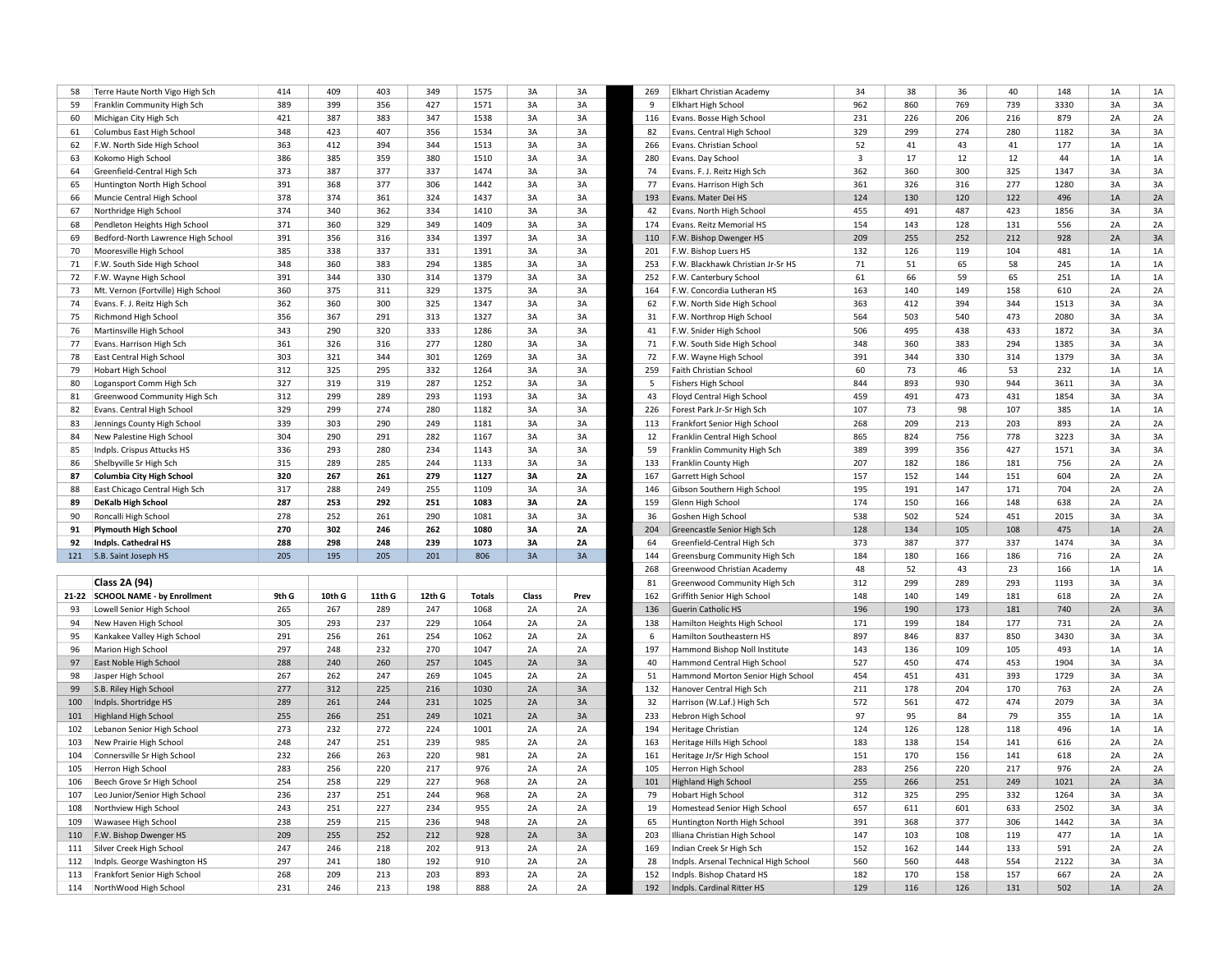| 58         | Terre Haute North Vigo High Sch                       | 414        | 409        | 403        | 349        | 1575          | 3A       | 3A       | 269        | Elkhart Christian Academy                               | 34           | 38         | 36         | 40         | 148        | 1A       | 1A       |
|------------|-------------------------------------------------------|------------|------------|------------|------------|---------------|----------|----------|------------|---------------------------------------------------------|--------------|------------|------------|------------|------------|----------|----------|
| 59         | Franklin Community High Sch                           | 389        | 399        | 356        | 427        | 1571          | 3A       | 3A       | 9          | Elkhart High School                                     | 962          | 860        | 769        | 739        | 3330       | 3A       | 3A       |
| 60         | Michigan City High Sch                                | 421        | 387        | 383        | 347        | 1538          | 3A       | 3A       | 116        | Evans. Bosse High School                                | 231          | 226        | 206        | 216        | 879        | 2A       | 2A       |
| 61         | Columbus East High School                             | 348        | 423        | 407        | 356        | 1534          | 3A       | 3A       | 82         | Evans. Central High School                              | 329          | 299        | 274        | 280        | 1182       | 3A       | 3A       |
| 62         | F.W. North Side High School                           | 363        | 412        | 394        | 344        | 1513          | 3A       | 3A       | 266        | Evans. Christian School                                 | 52           | 41         | 43         | 41         | 177        | 1A       | 1A       |
| 63         | Kokomo High School                                    | 386        | 385        | 359        | 380        | 1510          | 3A       | 3A       | 280        | Evans. Day School                                       | $\mathbf{3}$ | 17         | 12         | 12         | 44         | 1A       | 1A       |
| 64         | Greenfield-Central High Sch                           | 373        | 387        | 377        | 337        | 1474          | 3A       | 3A       | 74         | Evans. F. J. Reitz High Sch                             | 362          | 360        | 300        | 325        | 1347       | 3A       | 3A       |
|            |                                                       |            |            |            |            |               |          |          |            |                                                         |              |            |            |            |            |          | 3A       |
| 65         | Huntington North High School                          | 391        | 368        | 377        | 306        | 1442          | 3A       | 3A       | 77         | Evans. Harrison High Sch                                | 361          | 326        | 316        | 277        | 1280       | 3A       |          |
| 66         | Muncie Central High School                            | 378        | 374        | 361        | 324        | 1437          | 3A       | 3A       | 193        | Evans. Mater Dei HS                                     | 124          | 130        | 120        | 122        | 496        | 1A       | 2A       |
| 67         | Northridge High School                                | 374        | 340        | 362        | 334        | 1410          | 3A       | 3A       | 42         | Evans. North High School                                | 455          | 491        | 487        | 423        | 1856       | 3A       | 3A       |
| 68         | Pendleton Heights High School                         | 371        | 360        | 329        | 349        | 1409          | 3A       | 3A       | 174        | Evans. Reitz Memorial HS                                | 154          | 143        | 128        | 131        | 556        | 2A       | 2A       |
| 69         | Bedford-North Lawrence High School                    | 391        | 356        | 316        | 334        | 1397          | 3A       | 3A       | 110        | F.W. Bishop Dwenger HS                                  | 209          | 255        | 252        | 212        | 928        | 2A       | 3A       |
| 70         | Mooresville High School                               | 385        | 338        | 337        | 331        | 1391          | 3A       | 3A       | 201        | F.W. Bishop Luers HS                                    | 132          | 126        | 119        | 104        | 481        | 1A       | 1A       |
| 71         | F.W. South Side High School                           | 348        | 360        | 383        | 294        | 1385          | 3A       | 3A       | 253        | F.W. Blackhawk Christian Jr-Sr HS                       | 71           | 51         | 65         | 58         | 245        | 1A       | 1A       |
| 72         | F.W. Wayne High School                                | 391        | 344        | 330        | 314        | 1379          | 3A       | 3A       | 252        | F.W. Canterbury School                                  | 61           | 66         | 59         | 65         | 251        | 1A       | 1A       |
| 73         | Mt. Vernon (Fortville) High School                    | 360        | 375        | 311        | 329        | 1375          | 3A       | 3A       | 164        | F.W. Concordia Lutheran HS                              | 163          | 140        | 149        | 158        | 610        | 2A       | 2A       |
| 74         | Evans. F. J. Reitz High Sch                           | 362        | 360        | 300        | 325        | 1347          | 3A       | 3A       | 62         | F.W. North Side High School                             | 363          | 412        | 394        | 344        | 1513       | 3A       | 3A       |
| 75         | Richmond High School                                  | 356        | 367        | 291        | 313        | 1327          | 3A       | 3A       | 31         | F.W. Northrop High School                               | 564          | 503        | 540        | 473        | 2080       | 3A       | 3A       |
| 76         | Martinsville High School                              | 343        | 290        | 320        | 333        | 1286          | 3A       | 3A       | 41         | F.W. Snider High School                                 | 506          | 495        | 438        | 433        | 1872       | 3A       | 3A       |
| 77         | Evans. Harrison High Sch                              | 361        | 326        | 316        | 277        | 1280          | 3A       | 3A       | 71         | F.W. South Side High School                             | 348          | 360        | 383        | 294        | 1385       | 3A       | 3A       |
| 78         | East Central High School                              | 303        | 321        | 344        | 301        | 1269          | 3A       | 3A       | 72         | F.W. Wayne High School                                  | 391          | 344        | 330        | 314        | 1379       | 3A       | 3A       |
| 79         | <b>Hobart High School</b>                             | 312        | 325        | 295        | 332        | 1264          | 3A       | 3A       | 259        | Faith Christian School                                  | 60           | 73         | 46         | 53         | 232        | 1A       | 1A       |
|            |                                                       |            |            |            |            |               |          |          |            |                                                         |              |            |            |            |            |          |          |
| 80         | Logansport Comm High Sch                              | 327        | 319        | 319        | 287        | 1252          | 3A       | 3A       | 5          | <b>Fishers High School</b>                              | 844          | 893        | 930        | 944        | 3611       | 3A       | 3A       |
| 81         | Greenwood Community High Sch                          | 312        | 299        | 289        | 293        | 1193          | 3A       | 3A       | 43         | Floyd Central High School                               | 459          | 491        | 473        | 431        | 1854       | 3A       | 3A       |
| 82         | Evans. Central High School                            | 329        | 299        | 274        | 280        | 1182          | 3A       | 3A       | 226        | Forest Park Jr-Sr High Sch                              | 107          | 73         | 98         | 107        | 385        | 1A       | 1A       |
| 83         | Jennings County High School                           | 339        | 303        | 290        | 249        | 1181          | 3A       | 3A       | 113        | Frankfort Senior High School                            | 268          | 209        | 213        | 203        | 893        | 2A       | 2A       |
| 84         | New Palestine High School                             | 304        | 290        | 291        | 282        | 1167          | 3A       | 3A       | 12         | Franklin Central High School                            | 865          | 824        | 756        | 778        | 3223       | 3A       | 3A       |
| 85         | Indpls. Crispus Attucks HS                            | 336        | 293        | 280        | 234        | 1143          | 3A       | 3A       | 59         | Franklin Community High Sch                             | 389          | 399        | 356        | 427        | 1571       | 3A       | 3A       |
| 86         | Shelbyville Sr High Sch                               | 315        | 289        | 285        | 244        | 1133          | 3A       | 3A       | 133        | Franklin County High                                    | 207          | 182        | 186        | 181        | 756        | 2A       | 2A       |
|            |                                                       |            |            |            |            |               |          |          |            |                                                         | 157          | 152        |            |            |            | 2A       | 2A       |
| 87         | <b>Columbia City High School</b>                      | 320        | 267        | 261        | 279        | 1127          | 3A       | 2A       | 167        | Garrett High School                                     |              |            | 144        | 151        | 604        |          |          |
| 88         | East Chicago Central High Sch                         | 317        | 288        | 249        | 255        | 1109          | 3A       | 3A       | 146        | Gibson Southern High School                             | 195          | 191        | 147        | 171        | 704        | 2A       | 2A       |
| 89         | <b>DeKalb High School</b>                             | 287        | 253        | 292        | 251        | 1083          | 3A       | 2A       | 159        | Glenn High School                                       | 174          | 150        | 166        | 148        | 638        | 2A       | 2A       |
| 90         | Roncalli High School                                  | 278        | 252        | 261        | 290        | 1081          | 3A       | 3A       | 36         | Goshen High School                                      | 538          | 502        | 524        | 451        | 2015       | 3A       | 3A       |
|            |                                                       |            |            |            |            |               |          |          |            |                                                         |              |            |            |            |            |          |          |
| 91         | <b>Plymouth High School</b>                           | 270        | 302        | 246        | 262        | 1080          | 3A       | 2A       | 204        | Greencastle Senior High Sch                             | 128          | 134        | 105        | 108        | 475        | 1A       | 2A       |
| 92         | Indpls. Cathedral HS                                  | 288        | 298        | 248        | 239        | 1073          | 3A       | 2A       | 64         | Greenfield-Central High Sch                             | 373          | 387        | 377        | 337        | 1474       | 3A       | 3A       |
|            | 121 S.B. Saint Joseph HS                              | 205        | 195        | 205        | 201        | 806           | 3A       | 3A       | 144        | Greensburg Community High Sch                           | 184          | 180        | 166        | 186        | 716        | 2A       | 2A       |
|            |                                                       |            |            |            |            |               |          |          | 268        | Greenwood Christian Academy                             | 48           | 52         | 43         | 23         | 166        | 1A       | 1A       |
|            | Class 2A (94)                                         |            |            |            |            |               |          |          | 81         | Greenwood Community High Sch                            | 312          | 299        | 289        | 293        | 1193       | 3A       | 3A       |
|            | 21-22 SCHOOL NAME - by Enrollment                     | 9th G      | 10th G     | 11th G     | 12th G     | <b>Totals</b> | Class    | Prev     | 162        | Griffith Senior High School                             | 148          | 140        | 149        | 181        | 618        | 2A       | 2A       |
| 93         | Lowell Senior High School                             | 265        | 267        | 289        | 247        | 1068          | 2A       | 2A       | 136        | Guerin Catholic HS                                      | 196          | 190        | 173        | 181        | 740        | 2A       | 3A       |
| 94         | New Haven High School                                 | 305        | 293        | 237        | 229        | 1064          | 2A       | 2A       | 138        | Hamilton Heights High School                            | 171          | 199        | 184        | 177        | 731        | 2A       | 2A       |
| 95         | Kankakee Valley High School                           | 291        | 256        | 261        | 254        | 1062          | 2A       | 2A       | 6          | Hamilton Southeastern HS                                | 897          | 846        | 837        | 850        | 3430       | 3A       | 3A       |
| 96         | Marion High School                                    | 297        | 248        | 232        | 270        | 1047          | 2A       | 2A       | 197        | Hammond Bishop Noll Institute                           | 143          | 136        | 109        | 105        | 493        | 1A       | 1A       |
| 97         | East Noble High School                                | 288        | 240        | 260        | 257        | 1045          | 2A       | 3A       | 40         | Hammond Central High School                             | 527          | 450        | 474        | 453        | 1904       | 3A       | 3A       |
| 98         | Jasper High School                                    | 267        | 262        | 247        | 269        | 1045          | 2A       | 2A       | 51         | Hammond Morton Senior High School                       | 454          | 451        | 431        | 393        | 1729       | 3A       | 3A       |
| 99         | S.B. Riley High School                                | 277        | 312        | 225        | 216        | 1030          | 2A       | 3A       | 132        | Hanover Central High Sch                                | 211          | 178        | 204        | 170        | 763        | 2A       | 2A       |
| 100        | Indpls. Shortridge HS                                 | 289        | 261        | 244        | 231        | 1025          | 2A       | 3A       | 32         | Harrison (W.Laf.) High Sch                              | 572          | 561        | 472        | 474        | 2079       | 3A       | 3A       |
| 101        | <b>Highland High School</b>                           | 255        | 266        | 251        | 249        | 1021          | 2A       | 3A       | 233        | Hebron High School                                      | 97           | 95         | 84         | 79         | 355        | 1A       | 1A       |
| 102        |                                                       | 273        | 232        | 272        | 224        | 1001          | 2A       | 2A       | 194        |                                                         | 124          | 126        | 128        | 118        | 496        | 1A       | $1A$     |
|            | Lebanon Senior High School                            | 248        | 247        |            | 239        | 985           | 2A       | 2A       | 163        | Heritage Christian                                      | 183          | 138        | 154        | 141        |            | 2A       |          |
| 103        | New Prairie High School                               |            |            | 251        |            |               |          |          |            | Heritage Hills High School                              |              |            |            |            | 616        |          | 2A       |
| 104        | Connersville Sr High School                           | 232        | 266        | 263        | 220        | 981           | 2A       | 2A       | 161        | Heritage Jr/Sr High School                              | 151          | 170        | 156        | 141        | 618        | 2A       | 2A       |
| 105        | Herron High School                                    | 283        | 256        | 220        | 217        | 976           | 2A       | 2A       | 105        | Herron High Schoo                                       | 283          | 256        | 220        | 217        | 976        | 2A       | 2A       |
| 106        | Beech Grove Sr High School                            | 254        | 258        | 229        | 227        | 968           | 2A       | 2A       | 101        | <b>Highland High School</b>                             | 255          | 266        | 251        | 249        | 1021       | 2A       | 3A       |
| 107        | Leo Junior/Senior High School                         | 236        | 237        | 251        | 244        | 968           | 2A       | 2A       | 79         | <b>Hobart High School</b>                               | 312          | 325        | 295        | 332        | 1264       | 3A       | 3A       |
| 108        | Northview High School                                 | 243        | 251        | 227        | 234        | 955           | 2A       | 2A       | 19         | Homestead Senior High School                            | 657          | 611        | 601        | 633        | 2502       | 3A       | 3A       |
| 109        | Wawasee High School                                   | 238        | 259        | 215        | 236        | 948           | 2A       | 2A       | 65         | Huntington North High School                            | 391          | 368        | 377        | 306        | 1442       | 3A       | 3A       |
| 110        | F.W. Bishop Dwenger HS                                | 209        | 255        | 252        | 212        | 928           | 2A       | 3A       | 203        | Illiana Christian High School                           | 147          | 103        | 108        | 119        | 477        | 1A       | 1A       |
| 111        | Silver Creek High School                              | 247        | 246        | 218        | 202        | 913           | 2A       | 2A       | 169        | Indian Creek Sr High Sch                                | 152          | 162        | 144        | 133        | 591        | 2A       | 2A       |
| 112        | Indpls. George Washington HS                          | 297        | 241        | 180        | 192        | 910           | 2A       | 2A       | 28         | Indpls. Arsenal Technical High School                   | 560          | 560        | 448        | 554        | 2122       | 3A       | 3A       |
| 113<br>114 | Frankfort Senior High School<br>NorthWood High School | 268<br>231 | 209<br>246 | 213<br>213 | 203<br>198 | 893<br>888    | 2A<br>2A | 2A<br>2A | 152<br>192 | Indpls. Bishop Chatard HS<br>Indpls. Cardinal Ritter HS | 182<br>129   | 170<br>116 | 158<br>126 | 157<br>131 | 667<br>502 | 2A<br>1A | 2A<br>2A |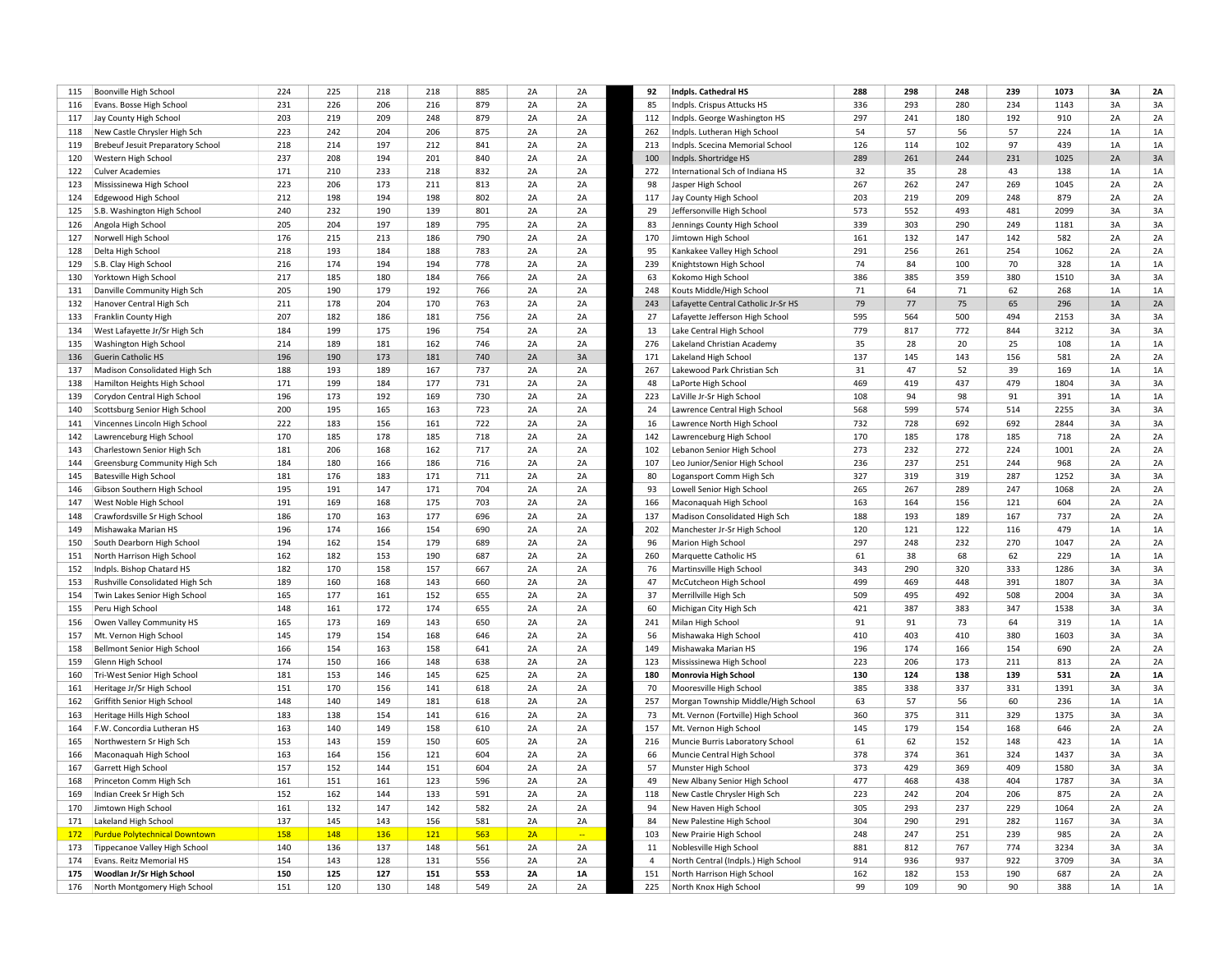| 115 | Boonville High School                | 224 | 225 | 218 | 218 | 885 | 2A | 2A             | 92             | Indpls. Cathedral HS                | 288 | 298 | 248 | 239 | 1073 | 3A | 2A |
|-----|--------------------------------------|-----|-----|-----|-----|-----|----|----------------|----------------|-------------------------------------|-----|-----|-----|-----|------|----|----|
| 116 | Evans. Bosse High School             | 231 | 226 | 206 | 216 | 879 | 2A | 2A             | 85             | Indpls. Crispus Attucks HS          | 336 | 293 | 280 | 234 | 1143 | 3A | 3A |
| 117 | Jay County High School               | 203 | 219 | 209 | 248 | 879 | 2A | 2A             | 112            | Indpls. George Washington HS        | 297 | 241 | 180 | 192 | 910  | 2A | 2A |
| 118 | New Castle Chrysler High Sch         | 223 | 242 | 204 | 206 | 875 | 2A | 2A             | 262            | Indpls. Lutheran High School        | 54  | 57  | 56  | 57  | 224  | 1A | 1A |
| 119 | Brebeuf Jesuit Preparatory School    | 218 | 214 | 197 | 212 | 841 | 2A | 2A             | 213            | Indpls. Scecina Memorial School     | 126 | 114 | 102 | 97  | 439  | 1A | 1A |
| 120 | Western High School                  | 237 | 208 | 194 | 201 | 840 | 2A | 2A             | 100            | Indpls. Shortridge HS               | 289 | 261 | 244 | 231 | 1025 | 2A | 3A |
| 122 | <b>Culver Academies</b>              | 171 | 210 | 233 | 218 | 832 | 2A | 2A             | 272            | International Sch of Indiana HS     | 32  | 35  | 28  | 43  | 138  | 1A | 1A |
| 123 | Mississinewa High School             | 223 | 206 | 173 | 211 | 813 | 2A | 2A             | 98             | Jasper High School                  | 267 | 262 | 247 | 269 | 1045 | 2A | 2A |
| 124 | Edgewood High School                 | 212 | 198 | 194 | 198 | 802 | 2A | 2A             | 117            | Jay County High School              | 203 | 219 | 209 | 248 | 879  | 2A | 2A |
| 125 | S.B. Washington High School          | 240 | 232 | 190 | 139 | 801 | 2A | 2A             | 29             | Jeffersonville High School          | 573 | 552 | 493 | 481 | 2099 | 3A | 3A |
| 126 | Angola High School                   | 205 | 204 | 197 | 189 | 795 | 2A | 2A             | 83             | Jennings County High School         | 339 | 303 | 290 | 249 | 1181 | 3A | 3A |
|     | Norwell High School                  | 176 | 215 | 213 | 186 | 790 | 2A | 2A             | 170            | Jimtown High School                 | 161 | 132 | 147 | 142 | 582  | 2A | 2A |
| 127 |                                      |     |     |     |     |     |    |                |                |                                     |     |     |     |     |      |    |    |
| 128 | Delta High School                    | 218 | 193 | 184 | 188 | 783 | 2A | 2A             | 95             | Kankakee Valley High School         | 291 | 256 | 261 | 254 | 1062 | 2A | 2A |
| 129 | S.B. Clay High School                | 216 | 174 | 194 | 194 | 778 | 2A | 2A             | 239            | Knightstown High School             | 74  | 84  | 100 | 70  | 328  | 1A | 1A |
| 130 | Yorktown High School                 | 217 | 185 | 180 | 184 | 766 | 2A | 2A             | 63             | Kokomo High School                  | 386 | 385 | 359 | 380 | 1510 | 3A | 3A |
| 131 | Danville Community High Sch          | 205 | 190 | 179 | 192 | 766 | 2A | 2A             | 248            | Kouts Middle/High School            | 71  | 64  | 71  | 62  | 268  | 1A | 1A |
| 132 | Hanover Central High Sch             | 211 | 178 | 204 | 170 | 763 | 2A | 2A             | 243            | Lafayette Central Catholic Jr-Sr HS | 79  | 77  | 75  | 65  | 296  | 1A | 2A |
| 133 | Franklin County High                 | 207 | 182 | 186 | 181 | 756 | 2A | 2A             | 27             | Lafayette Jefferson High School     | 595 | 564 | 500 | 494 | 2153 | 3A | 3A |
| 134 | West Lafayette Jr/Sr High Sch        | 184 | 199 | 175 | 196 | 754 | 2A | 2A             | 13             | Lake Central High School            | 779 | 817 | 772 | 844 | 3212 | 3A | 3A |
| 135 | Washington High School               | 214 | 189 | 181 | 162 | 746 | 2A | 2A             | 276            | Lakeland Christian Academy          | 35  | 28  | 20  | 25  | 108  | 1A | 1A |
| 136 | Guerin Catholic HS                   | 196 | 190 | 173 | 181 | 740 | 2A | 3A             | 171            | Lakeland High School                | 137 | 145 | 143 | 156 | 581  | 2A | 2A |
| 137 | Madison Consolidated High Sch        | 188 | 193 | 189 | 167 | 737 | 2A | 2A             | 267            | Lakewood Park Christian Sch         | 31  | 47  | 52  | 39  | 169  | 1A | 1A |
| 138 | Hamilton Heights High School         | 171 | 199 | 184 | 177 | 731 | 2A | 2A             | 48             | LaPorte High School                 | 469 | 419 | 437 | 479 | 1804 | 3A | 3A |
| 139 | Corydon Central High School          | 196 | 173 | 192 | 169 | 730 | 2A | 2A             | 223            | LaVille Jr-Sr High School           | 108 | 94  | 98  | 91  | 391  | 1A | 1A |
| 140 | Scottsburg Senior High School        | 200 | 195 | 165 | 163 | 723 | 2A | 2A             | 24             | Lawrence Central High School        | 568 | 599 | 574 | 514 | 2255 | 3A | 3A |
| 141 | Vincennes Lincoln High School        | 222 | 183 | 156 | 161 | 722 | 2A | 2A             | 16             | Lawrence North High School          | 732 | 728 | 692 | 692 | 2844 | 3A | 3A |
| 142 | Lawrenceburg High School             | 170 | 185 | 178 | 185 | 718 | 2A | 2A             | 142            | Lawrenceburg High School            | 170 | 185 | 178 | 185 | 718  | 2A | 2A |
| 143 | Charlestown Senior High Sch          | 181 | 206 | 168 | 162 | 717 | 2A | 2A             | 102            | Lebanon Senior High School          | 273 | 232 | 272 | 224 | 1001 | 2A | 2A |
| 144 | Greensburg Community High Sch        | 184 | 180 | 166 | 186 | 716 | 2A | 2A             | 107            | Leo Junior/Senior High School       | 236 | 237 | 251 | 244 | 968  | 2A | 2A |
| 145 | <b>Batesville High School</b>        | 181 | 176 | 183 | 171 | 711 | 2A | 2A             | 80             | Logansport Comm High Sch            | 327 | 319 | 319 | 287 | 1252 | 3A | 3A |
| 146 | Gibson Southern High School          | 195 | 191 | 147 | 171 | 704 | 2A | 2A             | 93             | Lowell Senior High School           | 265 | 267 | 289 | 247 | 1068 | 2A | 2A |
| 147 | West Noble High School               | 191 | 169 | 168 | 175 | 703 | 2A | 2A             | 166            | Maconaquah High School              | 163 | 164 | 156 | 121 | 604  | 2A | 2A |
| 148 | Crawfordsville Sr High School        | 186 | 170 | 163 | 177 | 696 | 2A | 2A             | 137            | Madison Consolidated High Sch       | 188 | 193 | 189 | 167 | 737  | 2A | 2A |
|     |                                      | 196 | 174 | 166 | 154 | 690 | 2A | 2A             | 202            |                                     | 120 | 121 | 122 | 116 | 479  | 1A | 1A |
| 149 | Mishawaka Marian HS                  | 194 | 162 | 154 | 179 | 689 | 2A | 2A             | 96             | Manchester Jr-Sr High School        | 297 | 248 | 232 | 270 | 1047 | 2A | 2A |
| 150 | South Dearborn High School           |     |     |     |     |     |    |                |                | Marion High School                  |     |     |     |     |      |    |    |
| 151 | North Harrison High School           | 162 | 182 | 153 | 190 | 687 | 2A | 2A             | 260            | Marquette Catholic HS               | 61  | 38  | 68  | 62  | 229  | 1A | 1A |
| 152 | Indpls. Bishop Chatard HS            | 182 | 170 | 158 | 157 | 667 | 2A | 2A             | 76             | Martinsville High School            | 343 | 290 | 320 | 333 | 1286 | 3A | 3A |
| 153 | Rushville Consolidated High Sch      | 189 | 160 | 168 | 143 | 660 | 2A | 2A             | 47             | McCutcheon High School              | 499 | 469 | 448 | 391 | 1807 | 3A | 3A |
| 154 | Twin Lakes Senior High School        | 165 | 177 | 161 | 152 | 655 | 2A | 2A             | 37             | Merrillville High Sch               | 509 | 495 | 492 | 508 | 2004 | 3A | 3A |
| 155 | Peru High School                     | 148 | 161 | 172 | 174 | 655 | 2A | 2A             | 60             | Michigan City High Sch              | 421 | 387 | 383 | 347 | 1538 | 3A | 3A |
| 156 | Owen Valley Community HS             | 165 | 173 | 169 | 143 | 650 | 2A | 2A             | 241            | Milan High School                   | 91  | 91  | 73  | 64  | 319  | 1A | 1A |
| 157 | Mt. Vernon High School               | 145 | 179 | 154 | 168 | 646 | 2A | 2A             | 56             | Mishawaka High School               | 410 | 403 | 410 | 380 | 1603 | 3A | 3A |
| 158 | Bellmont Senior High School          | 166 | 154 | 163 | 158 | 641 | 2A | 2A             | 149            | Mishawaka Marian HS                 | 196 | 174 | 166 | 154 | 690  | 2A | 2A |
| 159 | Glenn High School                    | 174 | 150 | 166 | 148 | 638 | 2A | 2A             | 123            | Mississinewa High School            | 223 | 206 | 173 | 211 | 813  | 2A | 2A |
| 160 | Tri-West Senior High School          | 181 | 153 | 146 | 145 | 625 | 2A | 2A             | 180            | Monrovia High School                | 130 | 124 | 138 | 139 | 531  | 2A | 1A |
| 161 | Heritage Jr/Sr High School           | 151 | 170 | 156 | 141 | 618 | 2A | 2A             | 70             | Mooresville High School             | 385 | 338 | 337 | 331 | 1391 | 3A | 3A |
| 162 | Griffith Senior High School          | 148 | 140 | 149 | 181 | 618 | 2A | 2A             | 257            | Morgan Township Middle/High School  | 63  | 57  | 56  | 60  | 236  | 1A | 1A |
| 163 | Heritage Hills High School           | 183 | 138 | 154 | 141 | 616 | 2A | 2A             | 73             | Mt. Vernon (Fortville) High School  | 360 | 375 | 311 | 329 | 1375 | 3A | 3A |
| 164 | F.W. Concordia Lutheran HS           | 163 | 140 | 149 | 158 | 610 | 2A | 2A             | 157            | Mt. Vernon High School              | 145 | 179 | 154 | 168 | 646  | 2A | 2A |
| 165 | Northwestern Sr High Sch             | 153 | 143 | 159 | 150 | 605 | 2A | 2A             | 216            | Muncie Burris Laboratory School     | 61  | 62  | 152 | 148 | 423  | 1A | 1A |
| 166 | Maconaquah High School               | 163 | 164 | 156 | 121 | 604 | 2A | 2A             | 66             | Muncie Central High School          | 378 | 374 | 361 | 324 | 1437 | 3A | 3A |
| 167 | Garrett High School                  | 157 | 152 | 144 | 151 | 604 | 2A | 2A             | 57             | Munster High School                 | 373 | 429 | 369 | 409 | 1580 | 3A | 3A |
| 168 | Princeton Comm High Sch              | 161 | 151 | 161 | 123 | 596 | 2A | 2A             | 49             | New Albany Senior High School       | 477 | 468 | 438 | 404 | 1787 | 3A | 3A |
| 169 | Indian Creek Sr High Sch             | 152 | 162 | 144 | 133 | 591 | 2A | 2A             | 118            | New Castle Chrysler High Sch        | 223 | 242 | 204 | 206 | 875  | 2A | 2A |
| 170 | Jimtown High School                  | 161 | 132 | 147 | 142 | 582 | 2A | 2A             | 94             | New Haven High School               | 305 | 293 | 237 | 229 | 1064 | 2A | 2A |
| 171 | Lakeland High School                 | 137 | 145 | 143 | 156 | 581 | 2A | 2A             | 84             | New Palestine High School           | 304 | 290 | 291 | 282 | 1167 | 3A | 3A |
|     |                                      | 158 |     |     |     |     |    | $\mathbb{Z}^2$ |                |                                     | 248 | 247 |     |     | 985  | 2A | 2A |
| 172 | <b>Purdue Polytechnical Downtown</b> |     | 148 | 136 | 121 | 563 | 2A |                | 103            | New Prairie High School             |     |     | 251 | 239 |      |    |    |
| 173 | Tippecanoe Valley High School        | 140 | 136 | 137 | 148 | 561 | 2A | 2A             | 11             | Noblesville High School             | 881 | 812 | 767 | 774 | 3234 | 3A | 3A |
| 174 | Evans. Reitz Memorial HS             | 154 | 143 | 128 | 131 | 556 | 2A | 2A             | $\overline{4}$ | North Central (Indpls.) High School | 914 | 936 | 937 | 922 | 3709 | 3A | 3A |
| 175 | Woodlan Jr/Sr High School            | 150 | 125 | 127 | 151 | 553 | 2A | 1A             | 151            | North Harrison High School          | 162 | 182 | 153 | 190 | 687  | 2A | 2A |
| 176 | North Montgomery High School         | 151 | 120 | 130 | 148 | 549 | 2A | 2A             | 225            | North Knox High School              | 99  | 109 | 90  | 90  | 388  | 1A | 1A |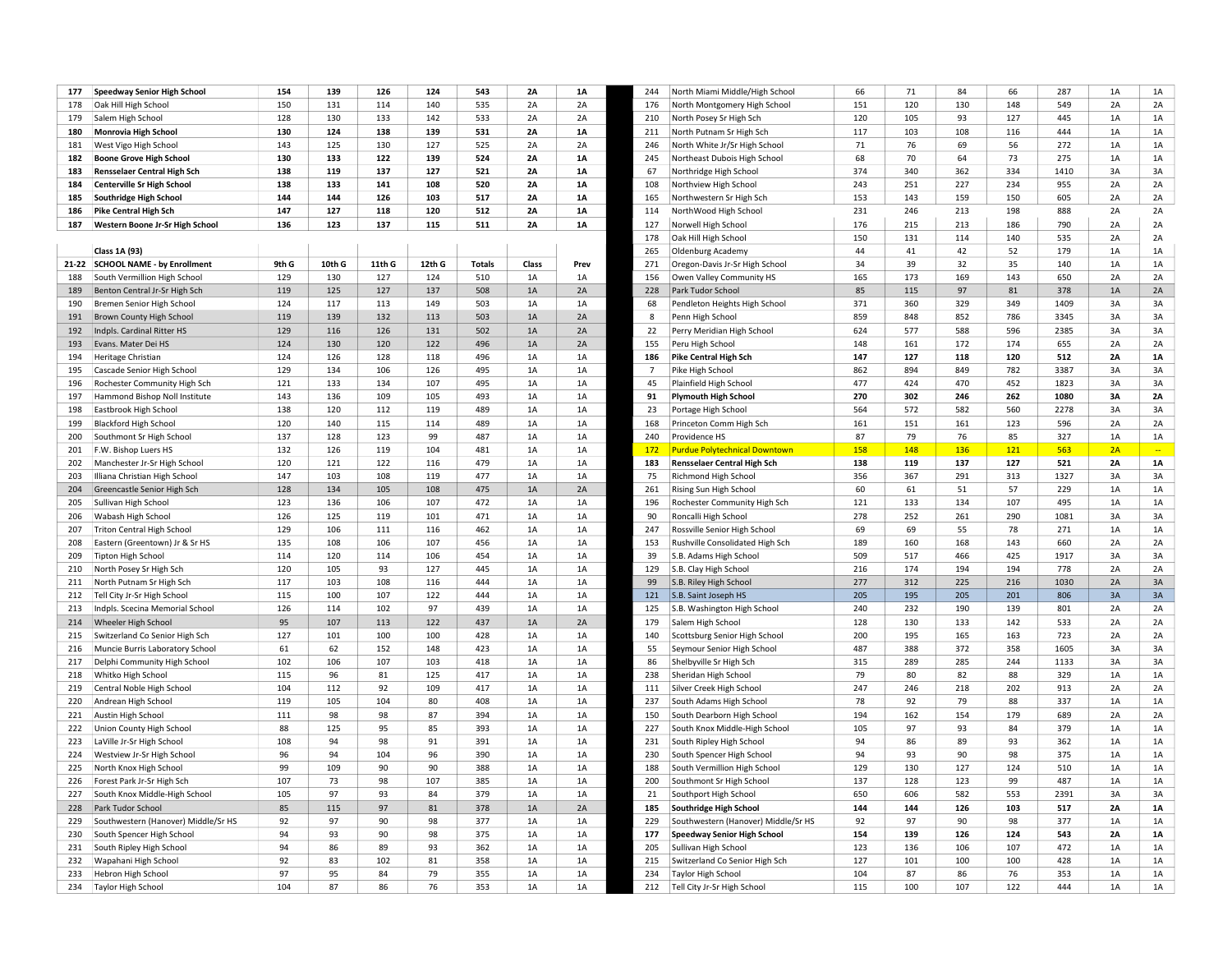|     |                                     | 154   |        | 126    | 124    | 543           | 2A        |           |                |                                      |     | 71  | 84  |     | 287  | 1A |           |
|-----|-------------------------------------|-------|--------|--------|--------|---------------|-----------|-----------|----------------|--------------------------------------|-----|-----|-----|-----|------|----|-----------|
| 177 | <b>Speedway Senior High School</b>  |       | 139    |        |        |               |           | <b>1A</b> | 244            | North Miami Middle/High School       | 66  |     |     | 66  |      |    | 1A        |
| 178 | Oak Hill High School                | 150   | 131    | 114    | 140    | 535           | 2A        | 2A        | 176            | North Montgomery High School         | 151 | 120 | 130 | 148 | 549  | 2A | 2A        |
| 179 | Salem High School                   | 128   | 130    | 133    | 142    | 533           | 2A        | 2A        | 210            | North Posey Sr High Sch              | 120 | 105 | 93  | 127 | 445  | 1A | 1A        |
| 180 | Monrovia High School                | 130   | 124    | 138    | 139    | 531           | <b>2A</b> | 1A        | 211            | North Putnam Sr High Sch             | 117 | 103 | 108 | 116 | 444  | 1A | 1A        |
| 181 | West Vigo High School               | 143   | 125    | 130    | 127    | 525           | 2A        | 2A        | 246            | North White Jr/Sr High School        | 71  | 76  | 69  | 56  | 272  | 1A | 1A        |
| 182 | <b>Boone Grove High School</b>      | 130   | 133    | 122    | 139    | 524           | <b>2A</b> | 1A        | 245            | Northeast Dubois High School         | 68  | 70  | 64  | 73  | 275  | 1A | 1A        |
| 183 | <b>Rensselaer Central High Sch</b>  | 138   | 119    | 137    | 127    | 521           | 2A        | 1A        | 67             | Northridge High School               | 374 | 340 | 362 | 334 | 1410 | 3A | 3A        |
| 184 | <b>Centerville Sr High School</b>   | 138   | 133    | 141    | 108    | 520           | 2A        | 1A        | 108            | Northview High School                | 243 | 251 | 227 | 234 | 955  | 2A | 2A        |
| 185 | Southridge High School              | 144   | 144    | 126    | 103    | 517           | 2A        | 1A        | 165            | Northwestern Sr High Sch             | 153 | 143 | 159 | 150 | 605  | 2A | 2A        |
| 186 | Pike Central High Sch               | 147   | 127    | 118    | 120    | 512           | <b>2A</b> | 1A        | 114            | NorthWood High School                | 231 | 246 | 213 | 198 | 888  | 2A | 2A        |
| 187 | Western Boone Jr-Sr High School     | 136   | 123    | 137    | 115    | 511           | <b>2A</b> | 1A        | 127            | Norwell High School                  | 176 | 215 | 213 | 186 | 790  | 2A | 2A        |
|     |                                     |       |        |        |        |               |           |           | 178            | Oak Hill High School                 | 150 | 131 | 114 | 140 | 535  | 2A | 2A        |
|     | Class 1A (93)                       |       |        |        |        |               |           |           | 265            | Oldenburg Academy                    | 44  | 41  | 42  | 52  | 179  | 1A | 1A        |
|     | 21-22 SCHOOL NAME - by Enrollment   | 9th G | 10th G | 11th G | 12th G | <b>Totals</b> | Class     | Prev      | 271            | Oregon-Davis Jr-Sr High School       | 34  | 39  | 32  | 35  | 140  | 1A | 1A        |
| 188 | South Vermillion High School        | 129   | 130    | 127    | 124    | 510           | 1A        | 1A        | 156            | Owen Valley Community HS             | 165 | 173 | 169 | 143 | 650  | 2A | 2A        |
| 189 | Benton Central Jr-Sr High Sch       | 119   | 125    | 127    | 137    | 508           | 1A        | 2A        | 228            | Park Tudor School                    | 85  | 115 | 97  | 81  | 378  | 1A | 2A        |
| 190 | Bremen Senior High School           | 124   | 117    | 113    | 149    | 503           | 1A        | 1A        | 68             | Pendleton Heights High School        | 371 | 360 | 329 | 349 | 1409 | 3A | 3A        |
| 191 | Brown County High School            | 119   | 139    | 132    | 113    | 503           | 1A        | 2A        | 8              | Penn High School                     | 859 | 848 | 852 | 786 | 3345 | 3A | 3A        |
| 192 | Indpls. Cardinal Ritter HS          | 129   | 116    | 126    | 131    | 502           | 1A        | 2A        | 22             | Perry Meridian High School           | 624 | 577 | 588 | 596 | 2385 | 3A | 3A        |
| 193 | Evans. Mater Dei HS                 | 124   | 130    | 120    | 122    | 496           | 1A        | 2A        | 155            | Peru High School                     | 148 | 161 | 172 | 174 | 655  | 2A | 2A        |
| 194 | Heritage Christian                  | 124   | 126    | 128    | 118    | 496           | 1A        | 1A        | 186            | <b>Pike Central High Sch</b>         | 147 | 127 | 118 | 120 | 512  | 2A | 1A        |
| 195 | Cascade Senior High School          | 129   | 134    | 106    | 126    | 495           | 1A        | 1A        | $\overline{7}$ | Pike High School                     | 862 | 894 | 849 | 782 | 3387 | 3A | 3A        |
| 196 | Rochester Community High Sch        | 121   | 133    | 134    | 107    | 495           | 1A        | 1A        | 45             | Plainfield High School               | 477 | 424 | 470 | 452 | 1823 | 3A | 3A        |
| 197 | Hammond Bishop Noll Institute       | 143   | 136    | 109    | 105    | 493           | 1A        | 1A        | 91             | <b>Plymouth High School</b>          | 270 | 302 | 246 | 262 | 1080 | 3A | 2A        |
| 198 | Eastbrook High School               | 138   | 120    | 112    | 119    | 489           | 1A        | 1A        | 23             | Portage High School                  | 564 | 572 | 582 | 560 | 2278 | 3A | 3A        |
|     |                                     |       |        |        |        |               |           |           |                |                                      |     |     |     |     |      |    |           |
| 199 | <b>Blackford High School</b>        | 120   | 140    | 115    | 114    | 489           | 1A        | 1A        | 168            | Princeton Comm High Sch              | 161 | 151 | 161 | 123 | 596  | 2A | 2A        |
| 200 | Southmont Sr High School            | 137   | 128    | 123    | 99     | 487           | 1A        | 1A        | 240            | Providence HS                        | 87  | 79  | 76  | 85  | 327  | 1A | 1A        |
| 201 | F.W. Bishop Luers HS                | 132   | 126    | 119    | 104    | 481           | 1A        | 1A        | <b>172</b>     | <b>Purdue Polytechnical Downtown</b> | 158 | 148 | 136 | 121 | 563  | 2A | $\sim$    |
| 202 | Manchester Jr-Sr High School        | 120   | 121    | 122    | 116    | 479           | 1A        | 1A        | 183            | <b>Rensselaer Central High Sch</b>   | 138 | 119 | 137 | 127 | 521  | 2A | <b>1A</b> |
| 203 | Illiana Christian High School       | 147   | 103    | 108    | 119    | 477           | 1A        | 1A        | 75             | Richmond High School                 | 356 | 367 | 291 | 313 | 1327 | 3A | 3A        |
| 204 | Greencastle Senior High Sch         | 128   | 134    | 105    | 108    | 475           | 1A        | 2A        | 261            | Rising Sun High School               | 60  | 61  | 51  | 57  | 229  | 1A | 1A        |
| 205 | Sullivan High School                | 123   | 136    | 106    | 107    | 472           | 1A        | 1A        | 196            | Rochester Community High Sch         | 121 | 133 | 134 | 107 | 495  | 1A | 1A        |
| 206 | Wabash High School                  | 126   | 125    | 119    | 101    | 471           | 1A        | 1A        | 90             | Roncalli High School                 | 278 | 252 | 261 | 290 | 1081 | 3A | 3A        |
| 207 | <b>Triton Central High School</b>   | 129   | 106    | 111    | 116    | 462           | 1A        | 1A        | 247            | Rossville Senior High School         | 69  | 69  | 55  | 78  | 271  | 1A | 1A        |
| 208 | Eastern (Greentown) Jr & Sr HS      | 135   | 108    | 106    | 107    | 456           | 1A        | 1A        | 153            | Rushville Consolidated High Sch      | 189 | 160 | 168 | 143 | 660  | 2A | 2A        |
| 209 | <b>Tipton High School</b>           | 114   | 120    | 114    | 106    | 454           | 1A        | 1A        | 39             | S.B. Adams High School               | 509 | 517 | 466 | 425 | 1917 | 3A | 3A        |
| 210 | North Posey Sr High Sch             | 120   | 105    | 93     | 127    | 445           | 1A        | 1A        | 129            | S.B. Clay High School                | 216 | 174 | 194 | 194 | 778  | 2A | 2A        |
| 211 | North Putnam Sr High Sch            | 117   | 103    | 108    | 116    | 444           | 1A        | 1A        | 99             | S.B. Riley High School               | 277 | 312 | 225 | 216 | 1030 | 2A | 3A        |
| 212 | Tell City Jr-Sr High School         | 115   | 100    | 107    | 122    | 444           | 1A        | $1A$      | 121            | S.B. Saint Joseph HS                 | 205 | 195 | 205 | 201 | 806  | 3A | 3A        |
| 213 | Indpls. Scecina Memorial School     | 126   | 114    | 102    | 97     | 439           | 1A        | 1A        | 125            | S.B. Washington High School          | 240 | 232 | 190 | 139 | 801  | 2A | 2A        |
| 214 | Wheeler High School                 | 95    | 107    | 113    | 122    | 437           | 1A        | 2A        | 179            | Salem High School                    | 128 | 130 | 133 | 142 | 533  | 2A | 2A        |
| 215 | Switzerland Co Senior High Sch      | 127   | 101    | 100    | 100    | 428           | 1A        | 1A        | 140            | Scottsburg Senior High School        | 200 | 195 | 165 | 163 | 723  | 2A | 2A        |
| 216 | Muncie Burris Laboratory School     | 61    | 62     | 152    | 148    | 423           | 1A        | 1A        | 55             | Seymour Senior High School           | 487 | 388 | 372 | 358 | 1605 | 3A | 3A        |
| 217 | Delphi Community High School        | 102   | 106    | 107    | 103    | 418           | 1A        | 1A        | 86             | Shelbyville Sr High Sch              | 315 | 289 | 285 | 244 | 1133 | 3A | 3A        |
| 218 | Whitko High School                  | 115   | 96     | 81     | 125    | 417           | 1A        | 1A        | 238            | Sheridan High School                 | 79  | 80  | 82  | 88  | 329  | 1A | 1A        |
| 219 | Central Noble High School           | 104   | 112    | 92     | 109    | 417           | 1A        | 1A        | 111            | Silver Creek High School             | 247 | 246 | 218 | 202 | 913  | 2A | 2A        |
| 220 | Andrean High School                 | 119   | 105    | 104    | 80     | 408           | 1A        | 1A        | 237            | South Adams High School              | 78  | 92  | 79  | 88  | 337  | 1A | 1A        |
| 221 | Austin High School                  | 111   | 98     | 98     | 87     | 394           | 1A        | 1A        | 150            | South Dearborn High School           | 194 | 162 | 154 | 179 | 689  | 2A | 2A        |
| 222 | Union County High School            | 88    | 125    | 95     | 85     | 393           | 1A        | 1A        | 227            | South Knox Middle-High School        | 105 | 97  | 93  | 84  | 379  | 1A | 1A        |
| 223 | LaVille Jr-Sr High School           | 108   | 94     | 98     | 91     | 391           | 1A        | 1A        | 231            | South Ripley High School             | 94  | 86  | 89  | 93  | 362  | 1A | 1A        |
| 224 | Westview Jr-Sr High School          | 96    | 94     | 104    | 96     | 390           | 1A        | 1A        | 230            | South Spencer High School            | 94  | 93  | 90  | 98  | 375  | 1A | $1A$      |
| 225 | North Knox High School              | 99    | 109    | 90     | 90     | 388           | 1A        | 1A        | 188            | South Vermillion High School         | 129 | 130 | 127 | 124 | 510  | 1A | $1A$      |
| 226 | Forest Park Jr-Sr High Sch          | 107   | 73     | 98     | 107    | 385           | 1A        | 1A        | 200            | Southmont Sr High School             | 137 | 128 | 123 | 99  | 487  | 1A | 1A        |
| 227 | South Knox Middle-High School       | 105   | 97     | 93     | 84     | 379           | 1A        | 1A        | 21             | Southport High School                | 650 | 606 | 582 | 553 | 2391 | 3A | 3A        |
| 228 | Park Tudor School                   | 85    | 115    | 97     | 81     | 378           | 1A        | 2A        | 185            |                                      | 144 | 144 | 126 | 103 | 517  | 2A | <b>1A</b> |
|     |                                     | 92    | 97     | 90     | 98     | 377           |           |           | 229            | Southridge High School               | 92  | 97  | 90  | 98  | 377  | 1A | 1A        |
| 229 | Southwestern (Hanover) Middle/Sr HS |       | 93     |        |        |               | 1A        | 1A        |                | Southwestern (Hanover) Middle/Sr HS  |     |     |     |     |      |    |           |
| 230 | South Spencer High School           | 94    |        | 90     | 98     | 375           | 1A        | 1A        | 177            | <b>Speedway Senior High School</b>   | 154 | 139 | 126 | 124 | 543  | 2A | <b>1A</b> |
| 231 | South Ripley High School            | 94    | 86     | 89     | 93     | 362           | 1A        | 1A        | 205            | Sullivan High School                 | 123 | 136 | 106 | 107 | 472  | 1A | 1A        |
| 232 | Wapahani High School                | 92    | 83     | 102    | 81     | 358           | 1A        | 1A        | 215            | Switzerland Co Senior High Sch       | 127 | 101 | 100 | 100 | 428  | 1A | $1A$      |
| 233 | Hebron High School                  | 97    | 95     | 84     | 79     | 355           | 1A        | 1A        | 234            | <b>Taylor High School</b>            | 104 | 87  | 86  | 76  | 353  | 1A | 1A        |
| 234 | <b>Taylor High School</b>           | 104   | 87     | 86     | 76     | 353           | 1A        | 1A        | 212            | Tell City Jr-Sr High School          | 115 | 100 | 107 | 122 | 444  | 1A | 1A        |